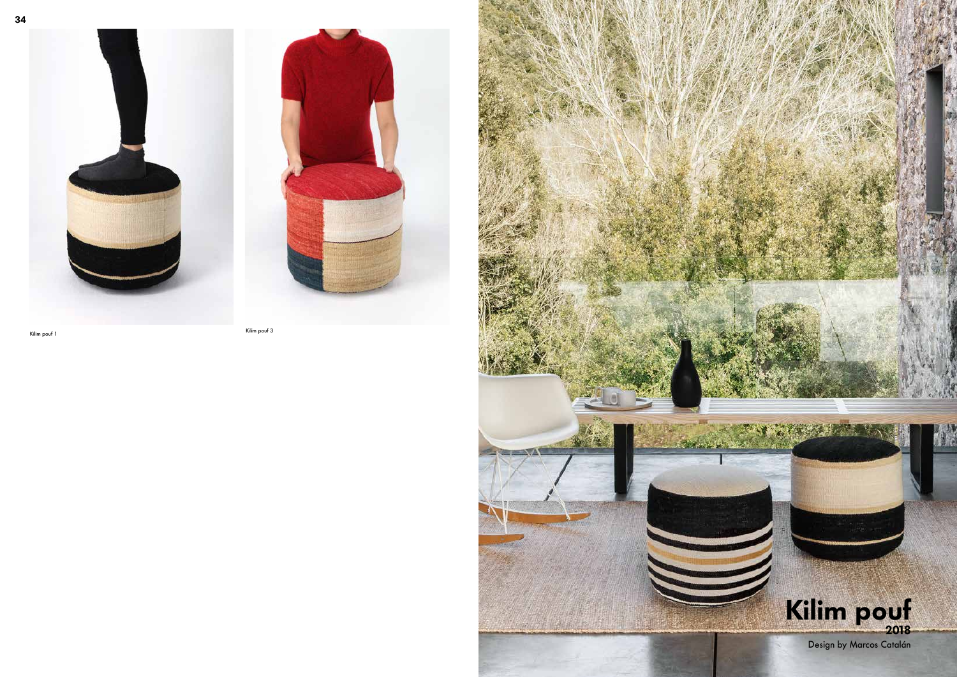